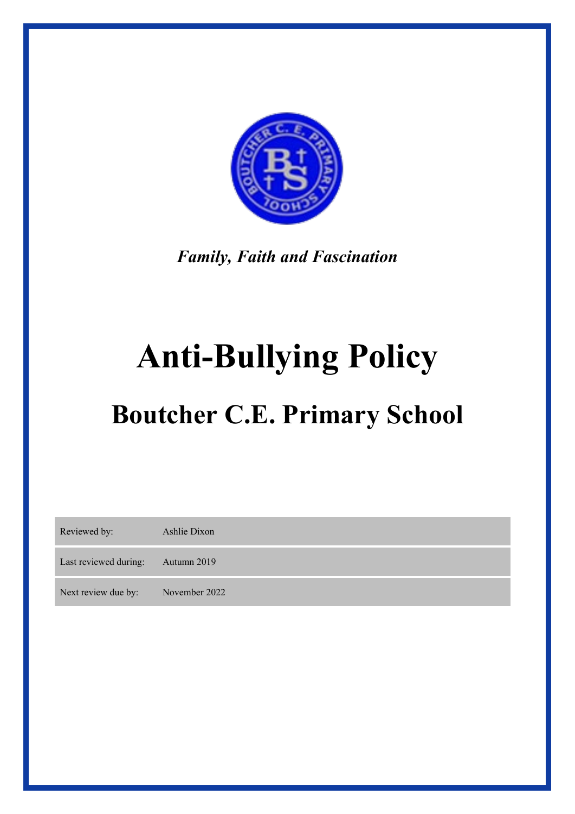

*Family, Faith and Fascination* 

# **Anti-Bullying Policy**

# **Boutcher C.E. Primary School**

| Reviewed by:          | Ashlie Dixon  |
|-----------------------|---------------|
| Last reviewed during: | Autumn 2019   |
| Next review due by:   | November 2022 |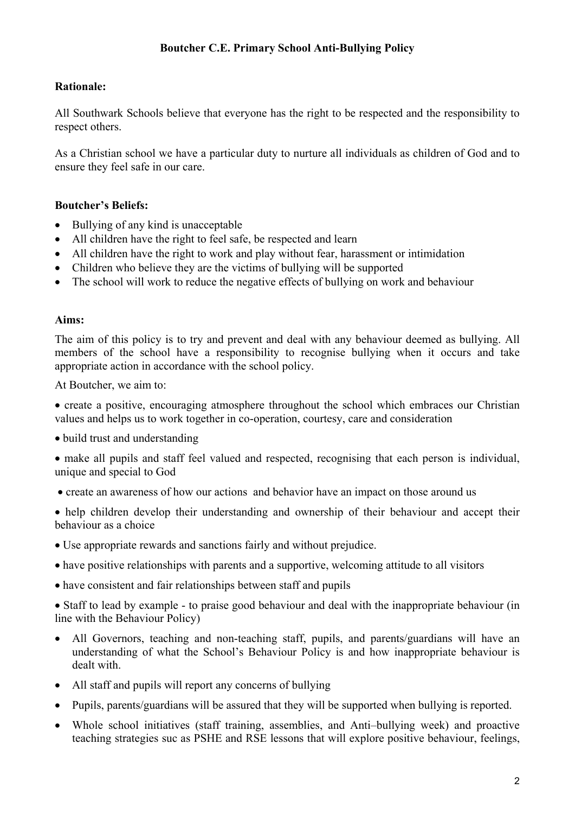#### **Rationale:**

All Southwark Schools believe that everyone has the right to be respected and the responsibility to respect others.

As a Christian school we have a particular duty to nurture all individuals as children of God and to ensure they feel safe in our care.

#### **Boutcher's Beliefs:**

- Bullying of any kind is unacceptable
- All children have the right to feel safe, be respected and learn
- All children have the right to work and play without fear, harassment or intimidation
- Children who believe they are the victims of bullying will be supported
- The school will work to reduce the negative effects of bullying on work and behaviour

#### **Aims:**

The aim of this policy is to try and prevent and deal with any behaviour deemed as bullying. All members of the school have a responsibility to recognise bullying when it occurs and take appropriate action in accordance with the school policy.

At Boutcher, we aim to:

• create a positive, encouraging atmosphere throughout the school which embraces our Christian values and helps us to work together in co-operation, courtesy, care and consideration

• build trust and understanding

• make all pupils and staff feel valued and respected, recognising that each person is individual, unique and special to God

- create an awareness of how our actions and behavior have an impact on those around us
- help children develop their understanding and ownership of their behaviour and accept their behaviour as a choice
- Use appropriate rewards and sanctions fairly and without prejudice.
- have positive relationships with parents and a supportive, welcoming attitude to all visitors
- have consistent and fair relationships between staff and pupils

• Staff to lead by example - to praise good behaviour and deal with the inappropriate behaviour (in line with the Behaviour Policy)

- All Governors, teaching and non-teaching staff, pupils, and parents/guardians will have an understanding of what the School's Behaviour Policy is and how inappropriate behaviour is dealt with.
- All staff and pupils will report any concerns of bullying
- Pupils, parents/guardians will be assured that they will be supported when bullying is reported.
- Whole school initiatives (staff training, assemblies, and Anti-bullying week) and proactive teaching strategies suc as PSHE and RSE lessons that will explore positive behaviour, feelings,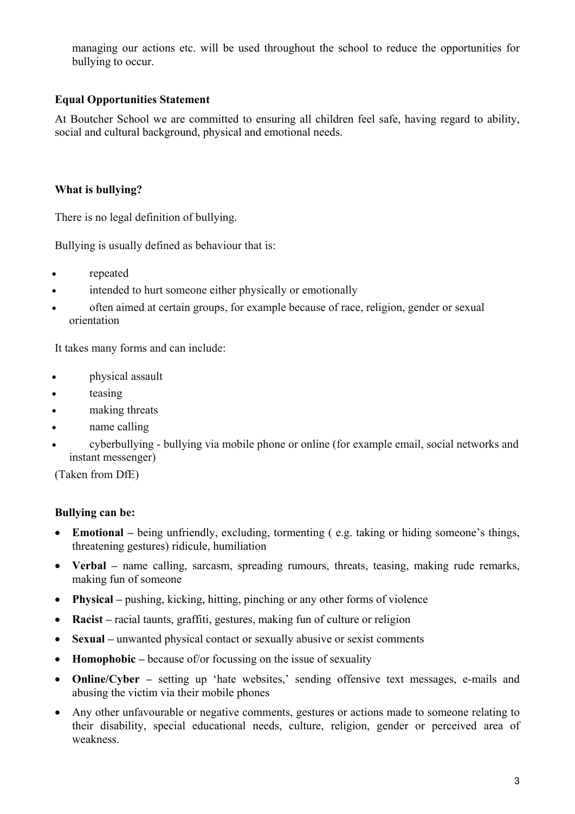managing our actions etc. will be used throughout the school to reduce the opportunities for bullying to occur.

# **Equal Opportunities Statement**

At Boutcher School we are committed to ensuring all children feel safe, having regard to ability, social and cultural background, physical and emotional needs.

# **What is bullying?**

There is no legal definition of bullying.

Bullying is usually defined as behaviour that is:

- repeated
- intended to hurt someone either physically or emotionally
- often aimed at certain groups, for example because of race, religion, gender or sexual orientation

It takes many forms and can include:

- *physical assault*
- teasing
- making threats
- name calling
- cyberbullying bullying via mobile phone or online (for example email, social networks and instant messenger)

(Taken from DfE)

#### **Bullying can be:**

- **Emotional** being unfriendly, excluding, tormenting ( e.g. taking or hiding someone's things, threatening gestures) ridicule, humiliation
- **Verbal** name calling, sarcasm, spreading rumours, threats, teasing, making rude remarks, making fun of someone
- **Physical** pushing, kicking, hitting, pinching or any other forms of violence
- **Racist** racial taunts, graffiti, gestures, making fun of culture or religion
- **Sexual** unwanted physical contact or sexually abusive or sexist comments
- **Homophobic** because of/or focussing on the issue of sexuality
- **Online/Cyber** setting up 'hate websites,' sending offensive text messages, e-mails and abusing the victim via their mobile phones
- Any other unfavourable or negative comments, gestures or actions made to someone relating to their disability, special educational needs, culture, religion, gender or perceived area of weakness.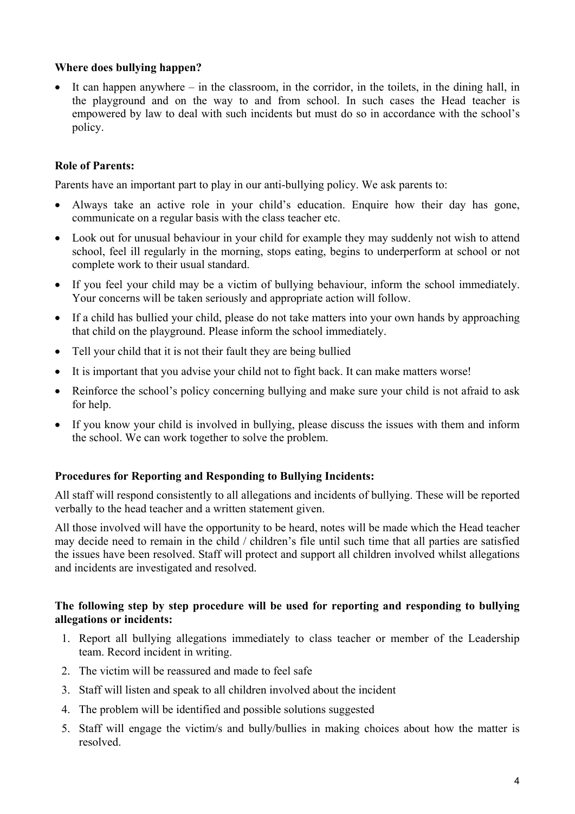#### **Where does bullying happen?**

• It can happen anywhere – in the classroom, in the corridor, in the toilets, in the dining hall, in the playground and on the way to and from school. In such cases the Head teacher is empowered by law to deal with such incidents but must do so in accordance with the school's policy.

### **Role of Parents:**

Parents have an important part to play in our anti-bullying policy. We ask parents to:

- Always take an active role in your child's education. Enquire how their day has gone, communicate on a regular basis with the class teacher etc.
- Look out for unusual behaviour in your child for example they may suddenly not wish to attend school, feel ill regularly in the morning, stops eating, begins to underperform at school or not complete work to their usual standard.
- If you feel your child may be a victim of bullying behaviour, inform the school immediately. Your concerns will be taken seriously and appropriate action will follow.
- If a child has bullied your child, please do not take matters into your own hands by approaching that child on the playground. Please inform the school immediately.
- Tell your child that it is not their fault they are being bullied
- It is important that you advise your child not to fight back. It can make matters worse!
- Reinforce the school's policy concerning bullying and make sure your child is not afraid to ask for help.
- If you know your child is involved in bullying, please discuss the issues with them and inform the school. We can work together to solve the problem.

#### **Procedures for Reporting and Responding to Bullying Incidents:**

All staff will respond consistently to all allegations and incidents of bullying. These will be reported verbally to the head teacher and a written statement given.

All those involved will have the opportunity to be heard, notes will be made which the Head teacher may decide need to remain in the child / children's file until such time that all parties are satisfied the issues have been resolved. Staff will protect and support all children involved whilst allegations and incidents are investigated and resolved.

#### **The following step by step procedure will be used for reporting and responding to bullying allegations or incidents:**

- 1. Report all bullying allegations immediately to class teacher or member of the Leadership team. Record incident in writing.
- 2. The victim will be reassured and made to feel safe
- 3. Staff will listen and speak to all children involved about the incident
- 4. The problem will be identified and possible solutions suggested
- 5. Staff will engage the victim/s and bully/bullies in making choices about how the matter is resolved.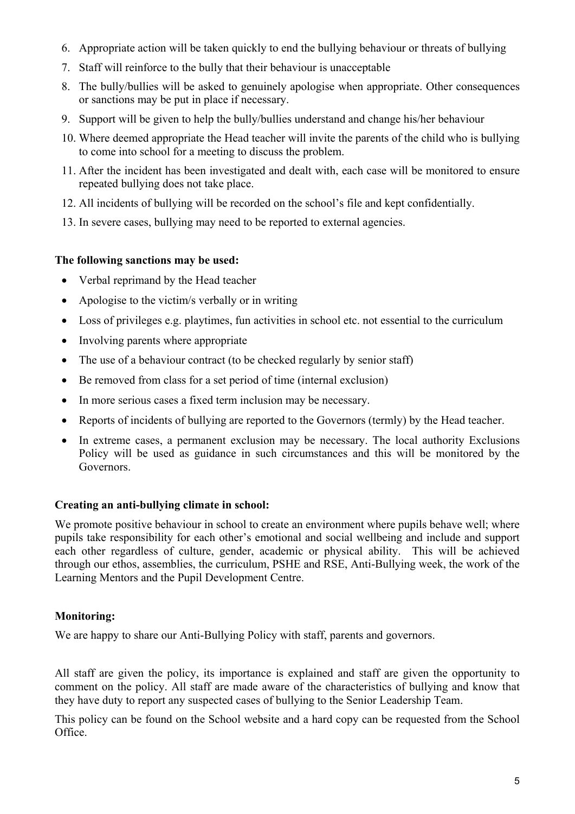- 6. Appropriate action will be taken quickly to end the bullying behaviour or threats of bullying
- 7. Staff will reinforce to the bully that their behaviour is unacceptable
- 8. The bully/bullies will be asked to genuinely apologise when appropriate. Other consequences or sanctions may be put in place if necessary.
- 9. Support will be given to help the bully/bullies understand and change his/her behaviour
- 10. Where deemed appropriate the Head teacher will invite the parents of the child who is bullying to come into school for a meeting to discuss the problem.
- 11. After the incident has been investigated and dealt with, each case will be monitored to ensure repeated bullying does not take place.
- 12. All incidents of bullying will be recorded on the school's file and kept confidentially.
- 13. In severe cases, bullying may need to be reported to external agencies.

#### **The following sanctions may be used:**

- Verbal reprimand by the Head teacher
- Apologise to the victim/s verbally or in writing
- Loss of privileges e.g. playtimes, fun activities in school etc. not essential to the curriculum
- Involving parents where appropriate
- The use of a behaviour contract (to be checked regularly by senior staff)
- Be removed from class for a set period of time (internal exclusion)
- In more serious cases a fixed term inclusion may be necessary.
- Reports of incidents of bullying are reported to the Governors (termly) by the Head teacher.
- In extreme cases, a permanent exclusion may be necessary. The local authority Exclusions Policy will be used as guidance in such circumstances and this will be monitored by the Governors.

# **Creating an anti-bullying climate in school:**

We promote positive behaviour in school to create an environment where pupils behave well; where pupils take responsibility for each other's emotional and social wellbeing and include and support each other regardless of culture, gender, academic or physical ability. This will be achieved through our ethos, assemblies, the curriculum, PSHE and RSE, Anti-Bullying week, the work of the Learning Mentors and the Pupil Development Centre.

# **Monitoring:**

We are happy to share our Anti-Bullying Policy with staff, parents and governors.

All staff are given the policy, its importance is explained and staff are given the opportunity to comment on the policy. All staff are made aware of the characteristics of bullying and know that they have duty to report any suspected cases of bullying to the Senior Leadership Team.

This policy can be found on the School website and a hard copy can be requested from the School Office.